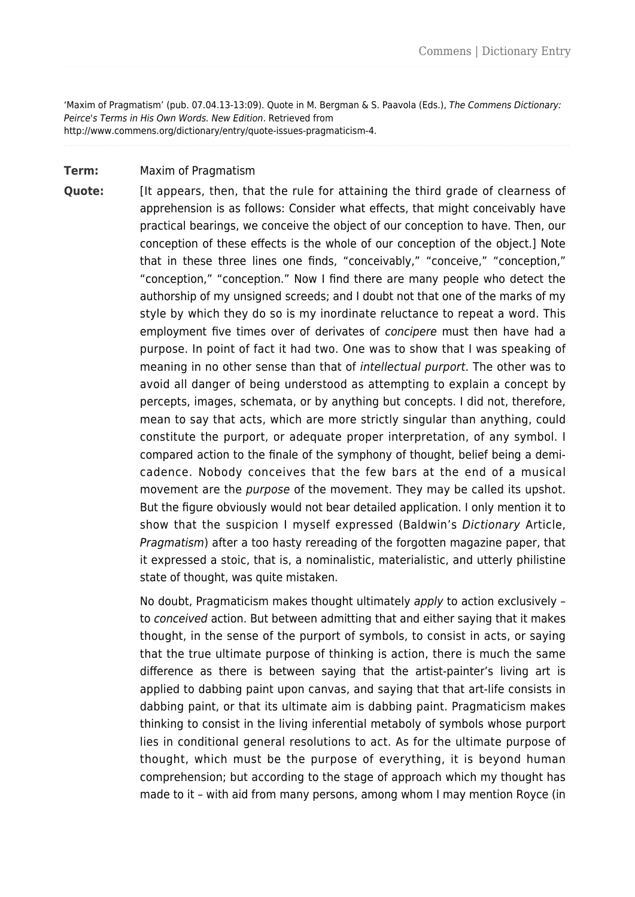'Maxim of Pragmatism' (pub. 07.04.13-13:09). Quote in M. Bergman & S. Paavola (Eds.), The Commens Dictionary: Peirce's Terms in His Own Words. New Edition. Retrieved from http://www.commens.org/dictionary/entry/quote-issues-pragmaticism-4.

## **Term:** Maxim of Pragmatism

**Quote:** [It appears, then, that the rule for attaining the third grade of clearness of apprehension is as follows: Consider what effects, that might conceivably have practical bearings, we conceive the object of our conception to have. Then, our conception of these effects is the whole of our conception of the object.] Note that in these three lines one finds, "conceivably," "conceive," "conception," "conception," "conception." Now I find there are many people who detect the authorship of my unsigned screeds; and I doubt not that one of the marks of my style by which they do so is my inordinate reluctance to repeat a word. This employment five times over of derivates of concipere must then have had a purpose. In point of fact it had two. One was to show that I was speaking of meaning in no other sense than that of intellectual purport. The other was to avoid all danger of being understood as attempting to explain a concept by percepts, images, schemata, or by anything but concepts. I did not, therefore, mean to say that acts, which are more strictly singular than anything, could constitute the purport, or adequate proper interpretation, of any symbol. I compared action to the finale of the symphony of thought, belief being a demicadence. Nobody conceives that the few bars at the end of a musical movement are the *purpose* of the movement. They may be called its upshot. But the figure obviously would not bear detailed application. I only mention it to show that the suspicion I myself expressed (Baldwin's Dictionary Article, Pragmatism) after a too hasty rereading of the forgotten magazine paper, that it expressed a stoic, that is, a nominalistic, materialistic, and utterly philistine state of thought, was quite mistaken.

> No doubt, Pragmaticism makes thought ultimately apply to action exclusively – to conceived action. But between admitting that and either saying that it makes thought, in the sense of the purport of symbols, to consist in acts, or saying that the true ultimate purpose of thinking is action, there is much the same difference as there is between saying that the artist-painter's living art is applied to dabbing paint upon canvas, and saying that that art-life consists in dabbing paint, or that its ultimate aim is dabbing paint. Pragmaticism makes thinking to consist in the living inferential metaboly of symbols whose purport lies in conditional general resolutions to act. As for the ultimate purpose of thought, which must be the purpose of everything, it is beyond human comprehension; but according to the stage of approach which my thought has made to it – with aid from many persons, among whom I may mention Royce (in